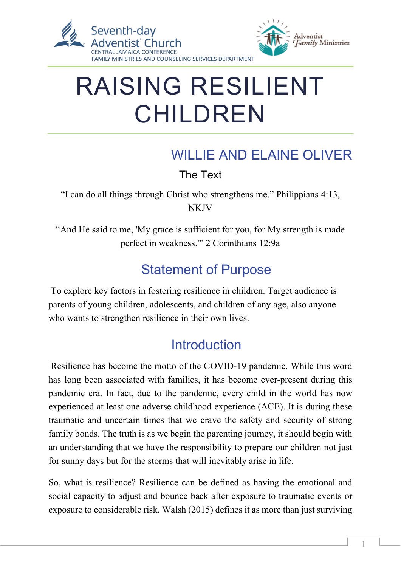

# RAISING RESILIENT CHILDREN

## WILLIE AND ELAINE OLIVER

The Text

"I can do all things through Christ who strengthens me." Philippians 4:13, **NKJV** 

"And He said to me, 'My grace is sufficient for you, for My strength is made perfect in weakness.'" 2 Corinthians 12:9a

## Statement of Purpose

To explore key factors in fostering resilience in children. Target audience is parents of young children, adolescents, and children of any age, also anyone who wants to strengthen resilience in their own lives.

## **Introduction**

Resilience has become the motto of the COVID-19 pandemic. While this word has long been associated with families, it has become ever-present during this pandemic era. In fact, due to the pandemic, every child in the world has now experienced at least one adverse childhood experience (ACE). It is during these traumatic and uncertain times that we crave the safety and security of strong family bonds. The truth is as we begin the parenting journey, it should begin with an understanding that we have the responsibility to prepare our children not just for sunny days but for the storms that will inevitably arise in life.

So, what is resilience? Resilience can be defined as having the emotional and social capacity to adjust and bounce back after exposure to traumatic events or exposure to considerable risk. Walsh (2015) defines it as more than just surviving

 $\overline{a}$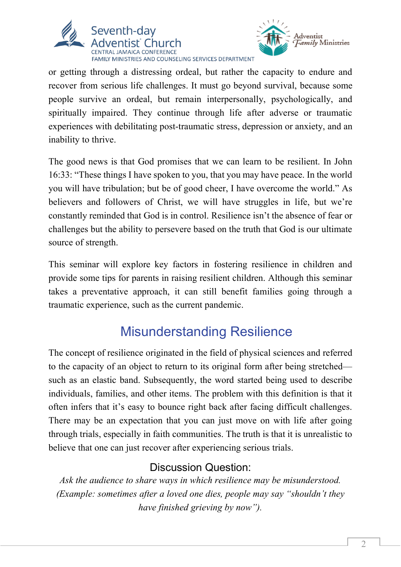



or getting through a distressing ordeal, but rather the capacity to endure and recover from serious life challenges. It must go beyond survival, because some people survive an ordeal, but remain interpersonally, psychologically, and spiritually impaired. They continue through life after adverse or traumatic experiences with debilitating post-traumatic stress, depression or anxiety, and an inability to thrive.

The good news is that God promises that we can learn to be resilient. In John 16:33: "These things I have spoken to you, that you may have peace. In the world you will have tribulation; but be of good cheer, I have overcome the world." As believers and followers of Christ, we will have struggles in life, but we're constantly reminded that God is in control. Resilience isn't the absence of fear or challenges but the ability to persevere based on the truth that God is our ultimate source of strength.

This seminar will explore key factors in fostering resilience in children and provide some tips for parents in raising resilient children. Although this seminar takes a preventative approach, it can still benefit families going through a traumatic experience, such as the current pandemic.

# Misunderstanding Resilience

The concept of resilience originated in the field of physical sciences and referred to the capacity of an object to return to its original form after being stretched such as an elastic band. Subsequently, the word started being used to describe individuals, families, and other items. The problem with this definition is that it often infers that it's easy to bounce right back after facing difficult challenges. There may be an expectation that you can just move on with life after going through trials, especially in faith communities. The truth is that it is unrealistic to believe that one can just recover after experiencing serious trials.

#### Discussion Question:

*Ask the audience to share ways in which resilience may be misunderstood. (Example: sometimes after a loved one dies, people may say "shouldn't they have finished grieving by now").*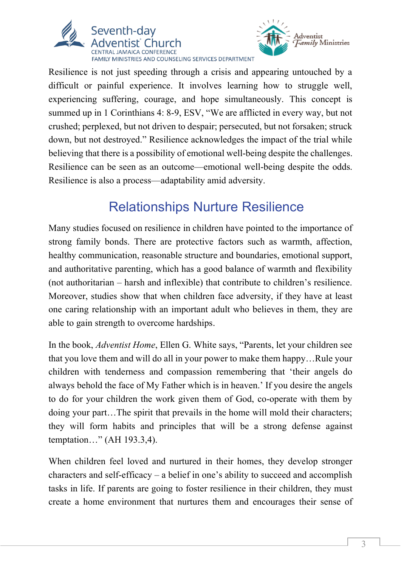



Resilience is not just speeding through a crisis and appearing untouched by a difficult or painful experience. It involves learning how to struggle well, experiencing suffering, courage, and hope simultaneously. This concept is summed up in 1 Corinthians 4: 8-9, ESV, "We are afflicted in every way, but not crushed; perplexed, but not driven to despair; persecuted, but not forsaken; struck down, but not destroyed." Resilience acknowledges the impact of the trial while believing that there is a possibility of emotional well-being despite the challenges. Resilience can be seen as an outcome—emotional well-being despite the odds. Resilience is also a process—adaptability amid adversity.

# Relationships Nurture Resilience

Many studies focused on resilience in children have pointed to the importance of strong family bonds. There are protective factors such as warmth, affection, healthy communication, reasonable structure and boundaries, emotional support, and authoritative parenting, which has a good balance of warmth and flexibility (not authoritarian – harsh and inflexible) that contribute to children's resilience. Moreover, studies show that when children face adversity, if they have at least one caring relationship with an important adult who believes in them, they are able to gain strength to overcome hardships.

In the book, *Adventist Home*, Ellen G. White says, "Parents, let your children see that you love them and will do all in your power to make them happy…Rule your children with tenderness and compassion remembering that 'their angels do always behold the face of My Father which is in heaven.' If you desire the angels to do for your children the work given them of God, co-operate with them by doing your part…The spirit that prevails in the home will mold their characters; they will form habits and principles that will be a strong defense against temptation…" (AH 193.3,4).

When children feel loved and nurtured in their homes, they develop stronger characters and self-efficacy – a belief in one's ability to succeed and accomplish tasks in life. If parents are going to foster resilience in their children, they must create a home environment that nurtures them and encourages their sense of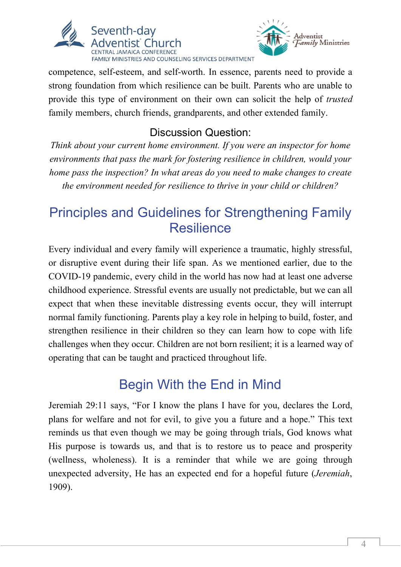



competence, self-esteem, and self-worth. In essence, parents need to provide a strong foundation from which resilience can be built. Parents who are unable to provide this type of environment on their own can solicit the help of *trusted*  family members, church friends, grandparents, and other extended family.

### Discussion Question:

*Think about your current home environment. If you were an inspector for home environments that pass the mark for fostering resilience in children, would your home pass the inspection? In what areas do you need to make changes to create the environment needed for resilience to thrive in your child or children?*

## Principles and Guidelines for Strengthening Family **Resilience**

Every individual and every family will experience a traumatic, highly stressful, or disruptive event during their life span. As we mentioned earlier, due to the COVID-19 pandemic, every child in the world has now had at least one adverse childhood experience. Stressful events are usually not predictable, but we can all expect that when these inevitable distressing events occur, they will interrupt normal family functioning. Parents play a key role in helping to build, foster, and strengthen resilience in their children so they can learn how to cope with life challenges when they occur. Children are not born resilient; it is a learned way of operating that can be taught and practiced throughout life.

## Begin With the End in Mind

Jeremiah 29:11 says, "For I know the plans I have for you, declares the Lord, plans for welfare and not for evil, to give you a future and a hope." This text reminds us that even though we may be going through trials, God knows what His purpose is towards us, and that is to restore us to peace and prosperity (wellness, wholeness). It is a reminder that while we are going through unexpected adversity, He has an expected end for a hopeful future (*Jeremiah*, 1909).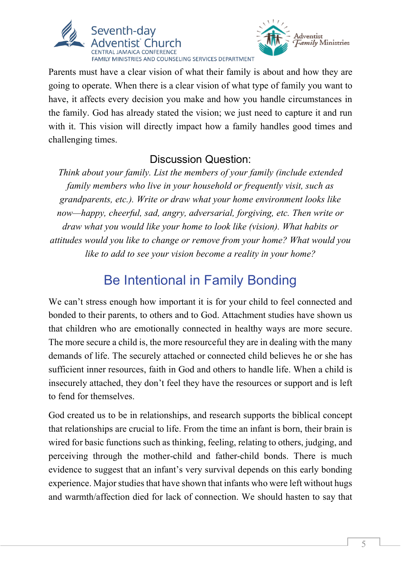



Parents must have a clear vision of what their family is about and how they are going to operate. When there is a clear vision of what type of family you want to have, it affects every decision you make and how you handle circumstances in the family. God has already stated the vision; we just need to capture it and run with it. This vision will directly impact how a family handles good times and challenging times.

#### Discussion Question:

*Think about your family. List the members of your family (include extended family members who live in your household or frequently visit, such as grandparents, etc.). Write or draw what your home environment looks like now—happy, cheerful, sad, angry, adversarial, forgiving, etc. Then write or draw what you would like your home to look like (vision). What habits or attitudes would you like to change or remove from your home? What would you like to add to see your vision become a reality in your home?*

# Be Intentional in Family Bonding

We can't stress enough how important it is for your child to feel connected and bonded to their parents, to others and to God. Attachment studies have shown us that children who are emotionally connected in healthy ways are more secure. The more secure a child is, the more resourceful they are in dealing with the many demands of life. The securely attached or connected child believes he or she has sufficient inner resources, faith in God and others to handle life. When a child is insecurely attached, they don't feel they have the resources or support and is left to fend for themselves.

God created us to be in relationships, and research supports the biblical concept that relationships are crucial to life. From the time an infant is born, their brain is wired for basic functions such as thinking, feeling, relating to others, judging, and perceiving through the mother-child and father-child bonds. There is much evidence to suggest that an infant's very survival depends on this early bonding experience. Major studies that have shown that infants who were left without hugs and warmth/affection died for lack of connection. We should hasten to say that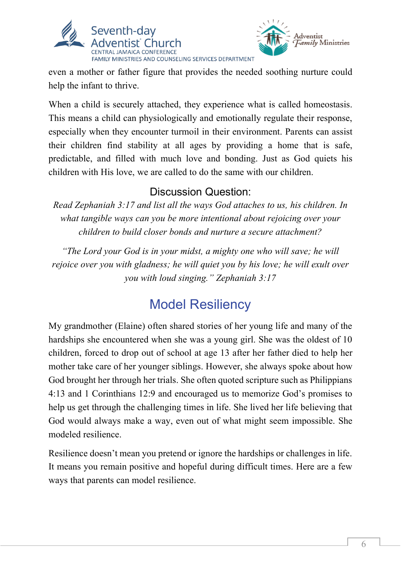



even a mother or father figure that provides the needed soothing nurture could help the infant to thrive.

When a child is securely attached, they experience what is called homeostasis. This means a child can physiologically and emotionally regulate their response, especially when they encounter turmoil in their environment. Parents can assist their children find stability at all ages by providing a home that is safe, predictable, and filled with much love and bonding. Just as God quiets his children with His love, we are called to do the same with our children.

#### Discussion Question:

*Read Zephaniah 3:17 and list all the ways God attaches to us, his children. In what tangible ways can you be more intentional about rejoicing over your children to build closer bonds and nurture a secure attachment?*

*"The Lord your God is in your midst, a mighty one who will save; he will rejoice over you with gladness; he will quiet you by his love; he will exult over you with loud singing." Zephaniah 3:17*

# Model Resiliency

My grandmother (Elaine) often shared stories of her young life and many of the hardships she encountered when she was a young girl. She was the oldest of 10 children, forced to drop out of school at age 13 after her father died to help her mother take care of her younger siblings. However, she always spoke about how God brought her through her trials. She often quoted scripture such as Philippians 4:13 and 1 Corinthians 12:9 and encouraged us to memorize God's promises to help us get through the challenging times in life. She lived her life believing that God would always make a way, even out of what might seem impossible. She modeled resilience.

Resilience doesn't mean you pretend or ignore the hardships or challenges in life. It means you remain positive and hopeful during difficult times. Here are a few ways that parents can model resilience.